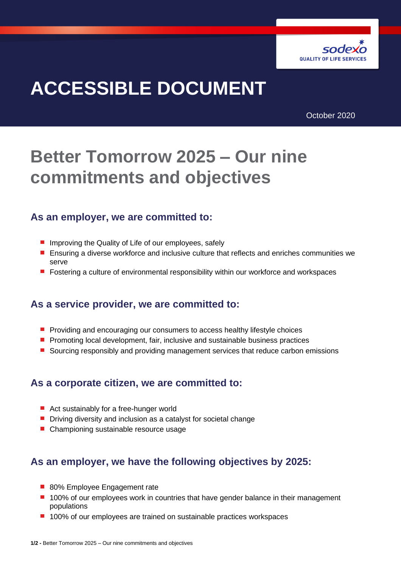

# **ACCESSIBLE DOCUMENT**

October 2020

## **Better Tomorrow 2025 – Our nine commitments and objectives**

#### **As an employer, we are committed to:**

- **If** Improving the Quality of Life of our employees, safely
- **Ensuring a diverse workforce and inclusive culture that reflects and enriches communities we** serve
- **F** Fostering a culture of environmental responsibility within our workforce and workspaces

#### **As a service provider, we are committed to:**

- **Peroviding and encouraging our consumers to access healthy lifestyle choices**
- $\blacksquare$  Promoting local development, fair, inclusive and sustainable business practices
- **Sourcing responsibly and providing management services that reduce carbon emissions**

#### **As a corporate citizen, we are committed to:**

- Act sustainably for a free-hunger world
- **Driving diversity and inclusion as a catalyst for societal change**
- **Championing sustainable resource usage**

#### **As an employer, we have the following objectives by 2025:**

- 80% Employee Engagement rate
- 100% of our employees work in countries that have gender balance in their management populations
- 100% of our employees are trained on sustainable practices workspaces